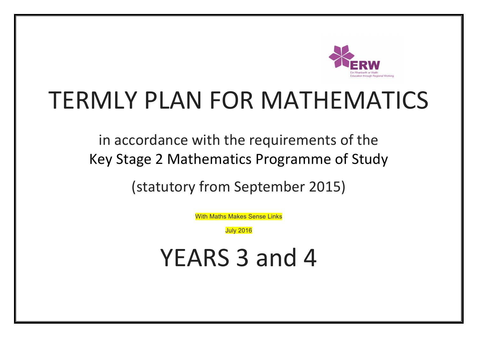

## TERMLY PLAN FOR MATHEMATICS

in accordance with the requirements of the Key Stage 2 Mathematics Programme of Study

(statutory from September 2015)

With Maths Makes Sense Links

July 2016

YEARS 3 and 4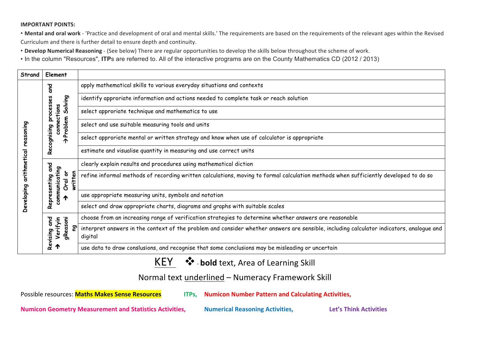## **IMPORTANT POINTS:**

• Mental and oral work - 'Practice and development of oral and mental skills.' The requirements are based on the requirements of the relevant ages within the Revised Curriculum and there is further detail to ensure depth and continuity.

• Develop Numerical Reasoning - (See below) There are regular opportunities to develop the skills below throughout the scheme of work.

• In the column "Resources", **ITP**s are referred to. All of the interactive programs are on the County Mathematics CD (2012 / 2013)

| Element<br>Strand |                                               |                                                                                                                                                     |
|-------------------|-----------------------------------------------|-----------------------------------------------------------------------------------------------------------------------------------------------------|
|                   | <b>Para</b>                                   | apply mathematical skills to various everyday situations and contexts                                                                               |
|                   | Solving<br>n<br>Ö<br>n                        | identify approriate information and actions needed to complete task or reach solution                                                               |
|                   | proces                                        | select approriate technique and mathematics to use                                                                                                  |
| reasoning         | connections<br>>Problem                       | select and use suitable measuring tools and units                                                                                                   |
|                   | cognising                                     | select approriate mental or written strategy and know when use of calculator is appropriate                                                         |
|                   | Ñ<br>$\tilde{\boldsymbol{\alpha}}$            | estimate and visualise quantity in measuring and use correct units                                                                                  |
|                   | gra                                           | clearly explain results and procedures using mathematical diction                                                                                   |
| arithmetical      | communicating<br>Oral or<br>written<br>enting | refine informal methods of recording written calculations, moving to formal calculation methods when sufficiently developed to do so                |
| Developing        | Ū<br>epre:<br>↑                               | use appropriate measuring units, symbols and notation                                                                                               |
|                   | $\alpha$                                      | select and draw appropriate charts, diagrams and graphs with suitable scales                                                                        |
|                   | gnp                                           | choose from an increasing range of verification strategies to determine whether answers are reasonable                                              |
|                   | gReasoni<br>Verifyin<br>5<br>Revising         | interpret answers in the context of the problem and consider whether answers are sensible, including calculator indicators, analogue and<br>digital |
|                   | ↑                                             | use data to draw conslusions, and recognise that some conclusions may be misleading or uncertain                                                    |

## KEY  $\cdot$   $\cdot$  - bold text, Area of Learning Skill

Normal text underlined – Numeracy Framework Skill

**Possible resources: Maths Makes Sense Resources ITPs, Numicon Number Pattern and Calculating Activities,** 

**Numicon Geometry Measurement and Statistics Activities, <br>
<b>Numerical Reasoning Activities**, *Let's Think Activities*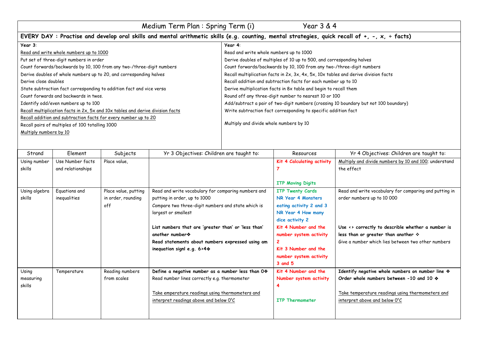| Medium Term Plan: Spring Term (i)                                                                                                             | Year 3 & 4                                                                           |  |  |
|-----------------------------------------------------------------------------------------------------------------------------------------------|--------------------------------------------------------------------------------------|--|--|
| EVERY DAY: Practise and develop oral skills and mental arithmetic skills (e.g. counting, mental strategies, quick recall of +, -, x, ÷ facts) |                                                                                      |  |  |
| Year 3:                                                                                                                                       | Year 4:                                                                              |  |  |
| Read and write whole numbers up to 1000                                                                                                       | Read and write whole numbers up to 1000                                              |  |  |
| Put set of three-digit numbers in order                                                                                                       | Derive doubles of multiples of 10 up to 500, and corresponding halves                |  |  |
| Count forwards/backwards by 10, 100 from any two-/three-digit numbers                                                                         | Count forwards/backwards by 10, 100 from any two-/three-digit numbers                |  |  |
| Derive doubles of whole numbers up to 20, and corresponding halves                                                                            | Recall multiplication facts in 2x, 3x, 4x, 5x, 10x tables and derive division facts  |  |  |
| Derive close doubles                                                                                                                          | Recall addition and subtraction facts for each number up to 10                       |  |  |
| State subtraction fact corresponding to addition fact and vice versa                                                                          | Derive multiplication facts in 8x table and begin to recall them                     |  |  |
| Count forwards and backwards in twos.                                                                                                         | Round off any three-digit number to nearest 10 or 100                                |  |  |
| Identify odd/even numbers up to 100                                                                                                           | Add/subtract a pair of two-digit numbers (crossing 10 boundary but not 100 boundary) |  |  |
| Recall multiplication facts in 2x, 5x and 10x tables and derive division facts                                                                | Write subtraction fact corresponding to specific addition fact                       |  |  |
| Recall addition and subtraction facts for every number up to 20                                                                               |                                                                                      |  |  |
| Recall pairs of multiples of 100 totalling 1000                                                                                               | Multiply and divide whole numbers by 10                                              |  |  |
| Multiply numbers by 10                                                                                                                        |                                                                                      |  |  |
|                                                                                                                                               |                                                                                      |  |  |

| Strand        | Element           | Subjects             | Yr 3 Objectives: Children are taught to:            | Resources                  | Yr 4 Objectives: Children are taught to:                         |
|---------------|-------------------|----------------------|-----------------------------------------------------|----------------------------|------------------------------------------------------------------|
| Using number  | Use Number facts  | Place value,         |                                                     | Kit 4 Calculating activity | Multiply and divide numbers by 10 and 100; understand            |
| skills        | and relationships |                      |                                                     |                            | the effect                                                       |
|               |                   |                      |                                                     |                            |                                                                  |
|               |                   |                      |                                                     | <b>ITP Moving Digits</b>   |                                                                  |
| Using algebra | Equations and     | Place value, putting | Read and write vocabulary for comparing numbers and | <b>ITP Twenty Cards</b>    | Read and write vocabulary for comparing and putting in           |
| skills        | inequalities      | in order, rounding   | putting in order, up to 1000                        | NR Year 4 Monsters         | order numbers up to 10 000                                       |
|               |                   | off                  | Compare two three-digit numbers and state which is  | eating activity 2 and 3    |                                                                  |
|               |                   |                      | largest or smallest                                 | NR Year 4 How many         |                                                                  |
|               |                   |                      |                                                     | dice activity 2            |                                                                  |
|               |                   |                      | List numbers that are 'greater than' or 'less than' | Kit 4 Number and the       | Use $\leftrightarrow$ correctly to describle whether a number is |
|               |                   |                      | another number *                                    | number system activity     | less than or greater than another $\div$                         |
|               |                   |                      | Read statements about numbers expressed using am    |                            | Give a number which lies between two other numbers               |
|               |                   |                      | inequation signl e.g. $6 > 4$                       | Kit 3 Number and the       |                                                                  |
|               |                   |                      |                                                     | number system activity     |                                                                  |
|               |                   |                      |                                                     | 3 and 5                    |                                                                  |
| Using         | Temperature       | Reading numbers      | Define a negative number as a number less than 0*   | Kit 4 Number and the       | Identify negative whole numbers on number line *                 |
| measuring     |                   | from scales          | Read number lines correctly e.g. thermometer        | Number system activity     | Order whole numbers between -10 and 10 $\diamond$                |
| skills        |                   |                      |                                                     |                            |                                                                  |
|               |                   |                      | Take emperature readings using thermometers and     |                            | Take temperature readings using thermometers and                 |
|               |                   |                      | interpret readings above and below $0^{\circ}C$     | <b>ITP Thermometer</b>     | interpret above and below $0^{\circ}C$                           |
|               |                   |                      |                                                     |                            |                                                                  |
|               |                   |                      |                                                     |                            |                                                                  |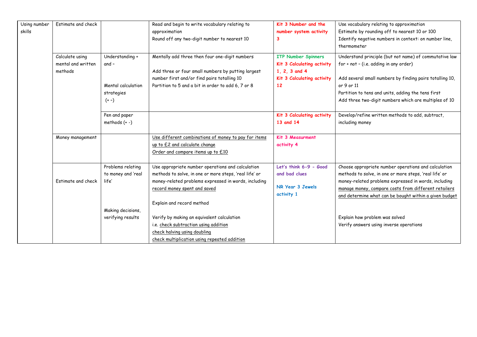| Using number | Estimate and check |                    | Read and begin to write vocabulary relating to         | Kit 3 Number and the       | Use vocabulary relating to approximation                 |
|--------------|--------------------|--------------------|--------------------------------------------------------|----------------------------|----------------------------------------------------------|
| skills       |                    |                    | approximation                                          | number system activity     | Estimate by rounding off to nearest 10 or 100            |
|              |                    |                    | Round off any two-digit number to nearest 10           | 3                          | Identify negative numbers in context: on number line,    |
|              |                    |                    |                                                        |                            | thermometer                                              |
|              | Calculate using    | Understanding +    | Mentally add three then four one-digit numbers         | <b>ITP Number Spinners</b> | Understand principle (but not name) of commutative law   |
|              | mental and written | $and -$            |                                                        | Kit 3 Calculating activity | for + not - (i.e. adding in any order)                   |
|              | methods            |                    | Add three or four small numbers by putting largest     | 1, 2, 3 and 4              |                                                          |
|              |                    |                    | number first and/or find pairs totalling 10            | Kit 3 Calculating activity | Add several small numbers by finding pairs totalling 10, |
|              |                    | Mental calculation | Partition to 5 and a bit in order to add 6, 7 or 8     | 12                         | or 9 or 11                                               |
|              |                    | strategies         |                                                        |                            | Partition to tens and units, adding the tens first       |
|              |                    | $(+ -)$            |                                                        |                            | Add three two-digit numbers which are multiples of 10    |
|              |                    | Pen and paper      |                                                        | Kit 3 Calculating activity | Develop/refine written methods to add, subtract,         |
|              |                    | methods $(+ -)$    |                                                        | 13 and 14                  | including money                                          |
|              |                    |                    |                                                        |                            |                                                          |
|              | Money management   |                    | Use different combinations of money to pay for items   | Kit 3 Measurment           |                                                          |
|              |                    |                    | up to £2 and calculate change                          | activity 4                 |                                                          |
|              |                    |                    | Order and compare items up to £10                      |                            |                                                          |
|              |                    |                    |                                                        |                            |                                                          |
|              |                    | Problems relating  | Use appropriate number operations and calculation      | Let's think 6-9 - Good     | Choose appropriate number operations and calculation     |
|              |                    | to money and 'real | methods to solve, in one or more steps, 'real life' or | and bad clues              | methods to solve, in one or more steps, 'real life' or   |
|              | Estimate and check | life'              | money-related problems expressed in words, including   | NR Year 3 Jewels           | money-related problems expressed in words, including     |
|              |                    |                    | record money spent and saved                           | activity 1                 | manage money, compare costs from different retailers     |
|              |                    |                    |                                                        |                            | and determine what can be bought within a given budget   |
|              |                    |                    | Explain and record method                              |                            |                                                          |
|              |                    | Making decisions,  |                                                        |                            |                                                          |
|              |                    | verifying results  | Verify by making an equivalent calculation             |                            | Explain how problem was solved                           |
|              |                    |                    | i.e. check subtraction using addition                  |                            | Verify answers using inverse operations                  |
|              |                    |                    | check halving using doubling                           |                            |                                                          |
|              |                    |                    | check multiplication using repeated addition           |                            |                                                          |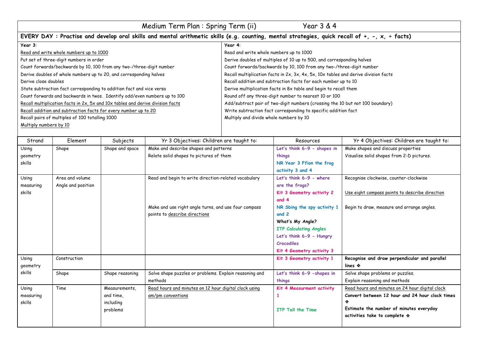| Medium Term Plan : Spring Term (ii)                                                                                                           | Year 3 & 4                                                                          |  |  |
|-----------------------------------------------------------------------------------------------------------------------------------------------|-------------------------------------------------------------------------------------|--|--|
| EVERY DAY: Practise and develop oral skills and mental arithmetic skills (e.g. counting, mental strategies, quick recall of +, -, x, ÷ facts) |                                                                                     |  |  |
| Year 3:<br>Year 4:                                                                                                                            |                                                                                     |  |  |
| Read and write whole numbers up to 1000                                                                                                       | Read and write whole numbers up to 1000                                             |  |  |
| Put set of three-digit numbers in order                                                                                                       | Derive doubles of multiples of 10 up to 500, and corresponding halves               |  |  |
| Count forwards/backwards by 10, 100 from any two-/three-digit number                                                                          | Count forwards/backwards by 10, 100 from any two-/three-digit number                |  |  |
| Derive doubles of whole numbers up to 20, and corresponding halves                                                                            | Recall multiplication facts in 2x, 3x, 4x, 5x, 10x tables and derive division facts |  |  |
| Derive close doubles                                                                                                                          | Recall addition and subtraction facts for each number up to 10                      |  |  |
| State subtraction fact corresponding to addition fact and vice versa                                                                          | Derive multiplication facts in 8x table and begin to recall them                    |  |  |
| Count forwards and backwards in twos. Identify odd/even numbers up to 100                                                                     | Round off any three-digit number to nearest 10 or 100                               |  |  |
| Recall multiplication facts in 2x, 5x and 10x tables and derive division facts                                                                | Add/subtract pair of two-digit numbers (crossing the 10 but not 100 boundary)       |  |  |
| Recall addition and subtraction facts for every number up to 20                                                                               | Write subtraction fact corresponding to specific addition fact                      |  |  |
| Recall pairs of multiples of 100 totalling 1000                                                                                               | Multiply and divide whole numbers by 10                                             |  |  |
| Multiply numbers by 10                                                                                                                        |                                                                                     |  |  |
|                                                                                                                                               |                                                                                     |  |  |

| Strand    | Element            | Subjects        | Yr 3 Objectives: Children are taught to:               | Resources                     | Yr 4 Objectives: Children are taught to:        |
|-----------|--------------------|-----------------|--------------------------------------------------------|-------------------------------|-------------------------------------------------|
| Using     | Shape              | Shape and space | Make and describe shapes and patterns                  | Let's think 6-9 - shapes in   | Make shapes and discuss properties              |
| geometry  |                    |                 | Relate solid shapes to pictures of them                | things                        | Visualise solid shapes from 2-D pictures.       |
| skills    |                    |                 |                                                        | NR Year 3 Ffion the frog      |                                                 |
|           |                    |                 |                                                        | activity 3 and 4              |                                                 |
| Using     | Area and volume    |                 | Read and begin to write direction-related vocabulary   | Let's think 6-9 - where       | Recognise clockwise, counter-clockwise          |
| measuring | Angle and position |                 |                                                        | are the frogs?                |                                                 |
| skills    |                    |                 |                                                        | Kit 3 Geometry activity 2     | Use eight compass points to describe direction  |
|           |                    |                 |                                                        | and 4                         |                                                 |
|           |                    |                 | Make and use right angle turns, and use four compass   | NR Sbing the spy activity 1   | Begin to draw, measure and arrange angles.      |
|           |                    |                 | points to describe directions                          | and 2                         |                                                 |
|           |                    |                 |                                                        | What's My Angle?              |                                                 |
|           |                    |                 |                                                        | <b>ITP Calculating Angles</b> |                                                 |
|           |                    |                 |                                                        | Let's think 6-9 - Hungry      |                                                 |
|           |                    |                 |                                                        | Crocodiles                    |                                                 |
|           |                    |                 |                                                        | Kit 4 Geometry activity 3     |                                                 |
| Using     | Construction       |                 |                                                        | Kit 3 Geometry activity 1     | Recognise and draw perpendicular and parallel   |
| geometry  |                    |                 |                                                        |                               | lines $\clubsuit$                               |
| skills    | Shape              | Shape reasoning | Solve shape puzzles or problems. Explain reasoning and | Let's think 6-9 -shapes in    | Solve shape problems or puzzles.                |
|           |                    |                 | methods                                                | things                        | Explain reasoning and methods                   |
| Using     | Time               | Measurements,   | Read hours and minutes on 12 hour digital clock using  | Kit 4 Measurment activity     | Read hours and minutes on 24 hour digital clock |
| measuring |                    | and time,       | am/pm conventions                                      |                               | Convert between 12 hour and 24 hour clock times |
| skills    |                    | including       |                                                        |                               |                                                 |
|           |                    | problems        |                                                        | ITP Tell the Time             | Estimate the number of minutes everyday         |
|           |                    |                 |                                                        |                               | activities take to complete $\diamondsuit$      |
|           |                    |                 |                                                        |                               |                                                 |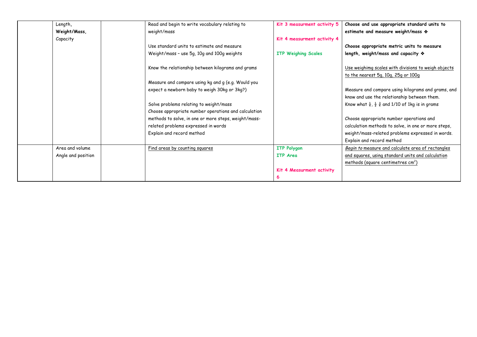| Length,            | Read and begin to write vocabulary relating to       | Kit 3 measurment activity 5 | Choose and use appropriate standard units to                                               |
|--------------------|------------------------------------------------------|-----------------------------|--------------------------------------------------------------------------------------------|
| Weight/Mass,       | weight/mass                                          |                             | estimate and measure weight/mass *                                                         |
| Capacity           |                                                      | Kit 4 measurment activity 4 |                                                                                            |
|                    | Use standard units to estimate and measure           |                             | Choose appropriate metric units to measure                                                 |
|                    | Weight/mass - use 5g, 10g and 100g weights           | <b>ITP Weighing Scales</b>  | length, weight/mass and capacity $\diamondsuit$                                            |
|                    | Know the relationship between kilograms and grams    |                             | Use weighimg scales with divisions to weigh objects<br>to the nearest 5g, 10g, 25g or 100g |
|                    | Measure and compare using kg and g (e.g. Would you   |                             |                                                                                            |
|                    | expect a newborn baby to weigh 30kg or 3kg?)         |                             | Measure and compare using kilograms and grams, and                                         |
|                    |                                                      |                             | know and use the relationship between them.                                                |
|                    | Solve problems relating to weight/mass               |                             | Know what $\frac{1}{4}$ , $\frac{1}{2}$ $\frac{3}{4}$ and 1/10 of 1kg is in grams          |
|                    | Choose appropriate number operations and calculation |                             |                                                                                            |
|                    | methods to solve, in one or more steps, weight/mass- |                             | Choose appropriate number operations and                                                   |
|                    | related problems expressed in words                  |                             | calculation methods to solve, in one or more steps,                                        |
|                    | Explain and record method                            |                             | weight/mass-related problems expressed in words.                                           |
|                    |                                                      |                             | Explain and record method                                                                  |
| Area and volume    | Find areas by counting squares                       | <b>ITP Polygon</b>          | Begin to measure and calculate area of rectangles                                          |
| Angle and position |                                                      | <b>ITP</b> Area             | and squares, using standard units and calculation                                          |
|                    |                                                      |                             | methods (square centimetres $cm2$ )                                                        |
|                    |                                                      | Kit 4 Measurment activity   |                                                                                            |
|                    |                                                      |                             |                                                                                            |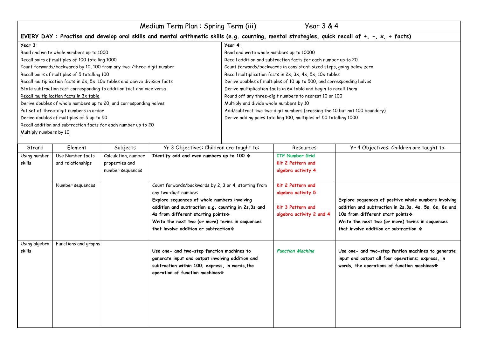| Medium Term Plan: Spring Term (iii)<br>Year 3 & 4                           |                                                                                                                                               |  |  |  |  |
|-----------------------------------------------------------------------------|-----------------------------------------------------------------------------------------------------------------------------------------------|--|--|--|--|
|                                                                             | EVERY DAY: Practise and develop oral skills and mental arithmetic skills (e.g. counting, mental strategies, quick recall of +, -, x, ÷ facts) |  |  |  |  |
| Year 3:<br>Year 4:                                                          |                                                                                                                                               |  |  |  |  |
| Read and write whole numbers up to 1000                                     | Read and write whole numbers up to 10000                                                                                                      |  |  |  |  |
| Recall pairs of multiples of 100 totalling 1000                             | Recall addition and subtraction facts for each number up to 20                                                                                |  |  |  |  |
| Count forwards/backwards by 10, 100 from any two-/three-digit number        | Count forwards/backwards in consistent-sized steps, going below zero                                                                          |  |  |  |  |
| Recall pairs of multiples of 5 totalling 100                                | Recall multiplication facts in 2x, 3x, 4x, 5x, 10x tables                                                                                     |  |  |  |  |
| Recall multiplication facts in 2x, 5x, 10x tables and derive division facts | Derive doubles of multiples of 10 up to 500, and corresponding halves                                                                         |  |  |  |  |
| State subtraction fact corresponding to addition fact and vice versa        | Derive multiplication facts in 6x table and begin to recall them                                                                              |  |  |  |  |
| Recall multiplication facts in 3x table                                     | Round off any three-digit numbers to nearest 10 or 100                                                                                        |  |  |  |  |
| Derive doubles of whole numbers up to 20, and corresponding halves          | Multiply and divide whole numbers by 10                                                                                                       |  |  |  |  |
| Put set of three-digit numbers in order                                     | Add/subtract two two-digit numbers (crossing the 10 but not 100 boundary)                                                                     |  |  |  |  |
| Derive doubles of multiples of 5 up to 50                                   | Derive adding pairs totalling 100, multiples of 50 totalling 1000                                                                             |  |  |  |  |
| Recall addition and subtraction facts for each number up to 20              |                                                                                                                                               |  |  |  |  |
| Multiply numbers by 10                                                      |                                                                                                                                               |  |  |  |  |
|                                                                             |                                                                                                                                               |  |  |  |  |

| Strand        | Element              | Subjects            | Yr 3 Objectives: Children are taught to:             | Resources                | Yr 4 Objectives: Children are taught to:               |
|---------------|----------------------|---------------------|------------------------------------------------------|--------------------------|--------------------------------------------------------|
| Using number  | Use Number facts     | Calculation, number | Identify odd and even numbers up to 100 $*$          | <b>ITP Number Grid</b>   |                                                        |
| skills        | and relationships    | properties and      |                                                      | Kit 2 Pattern and        |                                                        |
|               |                      | number sequences    |                                                      | algebra activity 4       |                                                        |
|               |                      |                     |                                                      |                          |                                                        |
|               | Number sequences     |                     | Count forwards/backwards by 2, 3 or 4 starting from  | Kit 2 Pattern and        |                                                        |
|               |                      |                     | any two-digit number:                                | algebra activity 5       |                                                        |
|               |                      |                     | Explore sequences of whole numbers involving         |                          | Explore sequences of positive whole numbers involving  |
|               |                      |                     | addition and subtraction e.g. counting in 2s, 3s and | Kit 3 Pattern and        | addition and subtraction in 2s, 3s, 4s, 5s, 6s, 8s and |
|               |                      |                     | 4s from different starting points *                  | algebra activity 2 and 4 | 10s from different start points *                      |
|               |                      |                     | Write the next two (or more) terms in sequences      |                          | Write the next two (or more) terms in sequences        |
|               |                      |                     | that involve addition or subtraction **              |                          | that involve addition or subtraction $\diamondsuit$    |
|               |                      |                     |                                                      |                          |                                                        |
| Using algebra | Functions and graphs |                     |                                                      |                          |                                                        |
| skills        |                      |                     | Use one- and two-step function machines to           | <b>Function Machine</b>  | Use one- and two-step funtion machines to generate     |
|               |                      |                     | generate input and output involving addition and     |                          | input and output all four operations; express, in      |
|               |                      |                     | subtraction within 100; express, in words, the       |                          | words, the operations of function machines *           |
|               |                      |                     | operation of function machines *                     |                          |                                                        |
|               |                      |                     |                                                      |                          |                                                        |
|               |                      |                     |                                                      |                          |                                                        |
|               |                      |                     |                                                      |                          |                                                        |
|               |                      |                     |                                                      |                          |                                                        |
|               |                      |                     |                                                      |                          |                                                        |
|               |                      |                     |                                                      |                          |                                                        |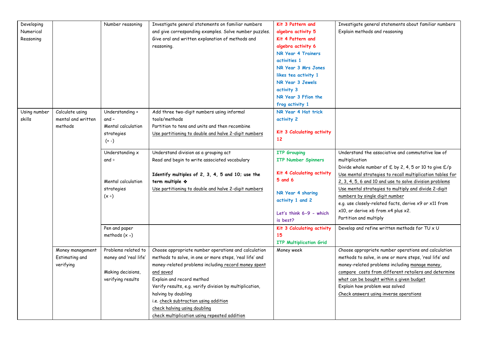| Developing   |                    | Number reasoning      | Investigate general statements on familiar numbers                  | Kit 3 Pattern and              | Investigate general statements about familiar numbers                                                                |
|--------------|--------------------|-----------------------|---------------------------------------------------------------------|--------------------------------|----------------------------------------------------------------------------------------------------------------------|
| Numerical    |                    |                       | and give corresponding examples. Solve number puzzles.              | algebra activity 5             | Explain methods and reasoning                                                                                        |
| Reasoning    |                    |                       | Give oral and written explanation of methods and                    | Kit 4 Pattern and              |                                                                                                                      |
|              |                    |                       | reasoning.                                                          | algebra activity 6             |                                                                                                                      |
|              |                    |                       |                                                                     | NR Year 4 Trainers             |                                                                                                                      |
|              |                    |                       |                                                                     | activities 1                   |                                                                                                                      |
|              |                    |                       |                                                                     | NR Year 3 Mrs Jones            |                                                                                                                      |
|              |                    |                       |                                                                     | likes tea activity 1           |                                                                                                                      |
|              |                    |                       |                                                                     | NR Year 3 Jewels               |                                                                                                                      |
|              |                    |                       |                                                                     | activity 3                     |                                                                                                                      |
|              |                    |                       |                                                                     | NR Year 3 Ffion the            |                                                                                                                      |
|              |                    |                       |                                                                     | frog activity 1                |                                                                                                                      |
| Using number | Calculate using    | Understanding +       | Add three two-digit numbers using informal                          | NR Year 4 Hat trick            |                                                                                                                      |
| skills       | mental and written | $and -$               | tools/methods                                                       | activity 2                     |                                                                                                                      |
|              | methods            | Mental calculation    | Partition to tens and units and then recombine                      |                                |                                                                                                                      |
|              |                    | strategies            | Use partitioning to double and halve 2-digit numbers                | Kit 3 Calculating activity     |                                                                                                                      |
|              |                    | $(+ -)$               |                                                                     | 12                             |                                                                                                                      |
|              |                    |                       |                                                                     |                                |                                                                                                                      |
|              |                    | Understanding x       | Understand division as a grouping act                               | <b>ITP Grouping</b>            | Understand the associative and commutative law of                                                                    |
|              |                    | and $\div$            | Read and begin to write associated vocabulary                       | <b>ITP Number Spinners</b>     | multiplication                                                                                                       |
|              |                    |                       |                                                                     | Kit 4 Calculating activity     | Divide whole number of £ by 2, 4, 5 or 10 to give £/p                                                                |
|              |                    | Mental calculation    | Identify multiples of 2, 3, 4, 5 and 10; use the<br>term multiple * | $5$ and $6$                    | Use mental strategies to recall multiplication tables for<br>2, 3, 4, 5, 6 and 10 and use to solve division problems |
|              |                    | strategies            | Use partitioning to double and halve 2-digit numbers                |                                | Use mental strategies to multiply and divide 2-digit                                                                 |
|              |                    | $(x+)$                |                                                                     | NR Year 4 sharing              | numbers by single digit number                                                                                       |
|              |                    |                       |                                                                     | activity 1 and 2               | e.g. use closely-related facts, derive x9 or x11 from                                                                |
|              |                    |                       |                                                                     |                                | x10, or derive x6 from x4 plus x2.                                                                                   |
|              |                    |                       |                                                                     | Let's think 6-9 - which        | Partition and multiply                                                                                               |
|              |                    |                       |                                                                     | is best?                       |                                                                                                                      |
|              |                    | Pen and paper         |                                                                     | Kit 3 Calculating activity     | Develop and refine written methods for TU x U                                                                        |
|              |                    | methods $(x +)$       |                                                                     | 15                             |                                                                                                                      |
|              |                    |                       |                                                                     | <b>ITP Multiplication Grid</b> |                                                                                                                      |
|              | Money management   | Problems related to   | Choose appropriate number operations and calculation                | Money week                     | Choose appropriate number operations and calculation                                                                 |
|              | Estimating and     | money and 'real life' | methods to solve, in one or more steps, 'real life' and             |                                | methods to solve, in one or more steps, 'real life' and                                                              |
|              | verifying          |                       | money-related problems including record money spent                 |                                | money-related problems including manage money,                                                                       |
|              |                    | Making decisions,     | and saved                                                           |                                | compare costs from different retailers and determine                                                                 |
|              |                    | verifying results     | Explain and record method                                           |                                | what can be bought within a given budget                                                                             |
|              |                    |                       | Verify results, e.g. verify division by multiplication,             |                                | Explain how problem was solved                                                                                       |
|              |                    |                       | halving by doubling                                                 |                                | Check answers using inverse operations                                                                               |
|              |                    |                       | i.e. check subtraction using addition                               |                                |                                                                                                                      |
|              |                    |                       | check halving using doubling                                        |                                |                                                                                                                      |
|              |                    |                       | check multiplication using repeated addition                        |                                |                                                                                                                      |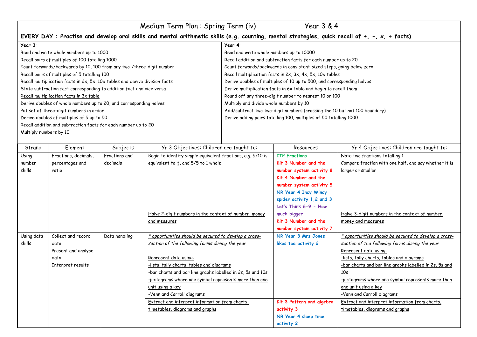| Medium Term Plan: Spring Term (iv)<br>Year 3 & 4                            |                                                                                                                                               |  |  |  |  |
|-----------------------------------------------------------------------------|-----------------------------------------------------------------------------------------------------------------------------------------------|--|--|--|--|
|                                                                             | EVERY DAY: Practise and develop oral skills and mental arithmetic skills (e.g. counting, mental strategies, quick recall of +, -, x, ÷ facts) |  |  |  |  |
| Year 3:                                                                     | Year 4:                                                                                                                                       |  |  |  |  |
| Read and write whole numbers up to 1000                                     | Read and write whole numbers up to 10000                                                                                                      |  |  |  |  |
| Recall pairs of multiples of 100 totalling 1000                             | Recall addition and subtraction facts for each number up to 20                                                                                |  |  |  |  |
| Count forwards/backwards by 10, 100 from any two-/three-digit number        | Count forwards/backwards in consistent-sized steps, going below zero                                                                          |  |  |  |  |
| Recall pairs of multiples of 5 totalling 100                                | Recall multiplication facts in 2x, 3x, 4x, 5x, 10x tables                                                                                     |  |  |  |  |
| Recall multiplication facts in 2x, 5x, 10x tables and derive division facts | Derive doubles of multiples of 10 up to 500, and corresponding halves                                                                         |  |  |  |  |
| State subtraction fact corresponding to addition fact and vice versa        | Derive multiplication facts in 6x table and begin to recall them                                                                              |  |  |  |  |
| Recall multiplication facts in 3x table                                     | Round off any three-digit number to nearest 10 or 100                                                                                         |  |  |  |  |
| Derive doubles of whole numbers up to 20, and corresponding halves          | Multiply and divide whole numbers by 10                                                                                                       |  |  |  |  |
| Put set of three-digit numbers in order                                     | Add/subtract two two-digit numbers (crossing the 10 but not 100 boundary)                                                                     |  |  |  |  |
| Derive doubles of multiples of 5 up to 50                                   | Derive adding pairs totalling 100, multiples of 50 totalling 1000                                                                             |  |  |  |  |
| Recall addition and subtraction facts for each number up to 20              |                                                                                                                                               |  |  |  |  |
| Multiply numbers by 10                                                      |                                                                                                                                               |  |  |  |  |
|                                                                             |                                                                                                                                               |  |  |  |  |

| Strand     | Element              | Subjects      | Yr 3 Objectives: Children are taught to:                    | Resources                 | Yr 4 Objectives: Children are taught to:               |
|------------|----------------------|---------------|-------------------------------------------------------------|---------------------------|--------------------------------------------------------|
| Using      | Fractions, decimals, | Fractions and | Begin to identify simple equivalent fractions, e.g. 5/10 is | <b>ITP Fractions</b>      | Note two fractions totalling 1                         |
| number     | percentages and      | decimals      | equivalent to $\frac{1}{2}$ , and 5/5 to 1 whole            | Kit 3 Number and the      | Compare fraction with one half, and say whether it is  |
| skills     | ratio                |               |                                                             | number system activity 8  | larger or smaller                                      |
|            |                      |               |                                                             | Kit 4 Number and the      |                                                        |
|            |                      |               |                                                             | number system activity 5  |                                                        |
|            |                      |               |                                                             | NR Year 4 Incy Wincy      |                                                        |
|            |                      |               |                                                             | spider activity 1,2 and 3 |                                                        |
|            |                      |               |                                                             | Let's Think 6-9 - How     |                                                        |
|            |                      |               | Halve 2-digit numbers in the context of number, money       | much bigger               | Halve 3-digit numbers in the context of number,        |
|            |                      |               | and measures                                                | Kit 3 Number and the      | money and measures                                     |
|            |                      |               |                                                             | number system activity 7  |                                                        |
| Using data | Collect and record   | Data handling | * opportunities should be secured to develop a cross-       | NR Year 3 Mrs Jones       | * opportunities should be secured to develop a cross-  |
| skills     | data                 |               | section of the following forms during the year              | likes tea activity 2      | section of the following forms during the year         |
|            | Present and analyse  |               |                                                             |                           | Represent data using:                                  |
|            | data                 |               | Represent data using:                                       |                           | -lists, tally charts, tables and diagrams              |
|            | Interpret results    |               | -lists, tally charts, tables and diagrams                   |                           | -bar charts and bar line graphs labelled in 2s, 5s and |
|            |                      |               | -bar charts and bar line graphs labelled in 2s, 5s and 10s  |                           | 10s                                                    |
|            |                      |               | -pictograms where one symbol represents more than one       |                           | -pictograms where one symbol represents more than      |
|            |                      |               | unit using a key                                            |                           | one unit using a key                                   |
|            |                      |               | -Venn and Carroll diagrams                                  |                           | -Venn and Carroll diagrams                             |
|            |                      |               | Extract and interpret information from charts,              | Kit 3 Pattern and algebra | Extract and interpret information from charts,         |
|            |                      |               | timetables, diagrams and graphs                             | activity 3                | timetables, diagrams and graphs                        |
|            |                      |               |                                                             | NR Year 4 sleep time      |                                                        |
|            |                      |               |                                                             | activity 2                |                                                        |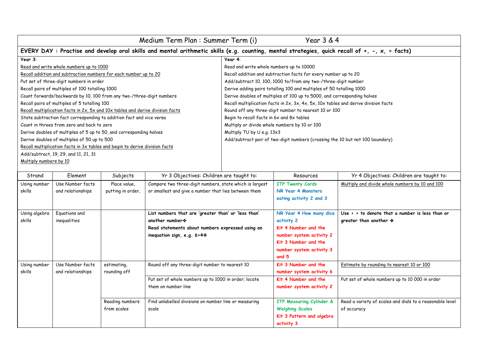| Medium Term Plan: Summer Term (i)<br>Year 3 & 4                  |                                                                                                                                               |                   |                                                                                   |                                                                               |                                                                                     |                                                            |
|------------------------------------------------------------------|-----------------------------------------------------------------------------------------------------------------------------------------------|-------------------|-----------------------------------------------------------------------------------|-------------------------------------------------------------------------------|-------------------------------------------------------------------------------------|------------------------------------------------------------|
|                                                                  | EVERY DAY: Practise and develop oral skills and mental arithmetic skills (e.g. counting, mental strategies, quick recall of +, -, x, + facts) |                   |                                                                                   |                                                                               |                                                                                     |                                                            |
| Year 3:                                                          |                                                                                                                                               |                   |                                                                                   | Year 4:                                                                       |                                                                                     |                                                            |
|                                                                  | Read and write whole numbers up to 1000                                                                                                       |                   |                                                                                   | Read and write whole numbers up to 10000                                      |                                                                                     |                                                            |
| Recall addition and subtraction numbers for each number up to 20 |                                                                                                                                               |                   |                                                                                   | Recall addition and subtraction facts for every number up to 20               |                                                                                     |                                                            |
| Put set of three-digit numbers in order                          |                                                                                                                                               |                   |                                                                                   | Add/subtract 10, 100, 1000 to/from any two-/three-digit number                |                                                                                     |                                                            |
|                                                                  | Recall pairs of multiples of 100 totalling 1000                                                                                               |                   |                                                                                   | Derive adding pairs totalling 100 and multiples of 50 totalling 1000          |                                                                                     |                                                            |
|                                                                  | Count forwards/backwards by 10, 100 from any two-/three-digit numbers                                                                         |                   |                                                                                   |                                                                               | Derive doubles of multiples of 100 up to 5000, and corresponding halves             |                                                            |
|                                                                  | Recall pairs of multiples of 5 totalling 100                                                                                                  |                   |                                                                                   |                                                                               | Recall multiplication facts in 2x, 3x, 4x, 5x, 10x tables and derive division facts |                                                            |
|                                                                  | Recall multiplication facts in 2x, 5x and 10x tables and derive division facts                                                                |                   |                                                                                   |                                                                               | Round off any three-digit number to nearest 10 or 100                               |                                                            |
|                                                                  | State subtraction fact corresponding to addition fact and vice versa                                                                          |                   |                                                                                   | Begin to recall facts in 6x and 8x tables                                     |                                                                                     |                                                            |
|                                                                  | Count in threes from zero and back to zero                                                                                                    |                   |                                                                                   | Multiply or divide whole numbers by 10 or 100                                 |                                                                                     |                                                            |
|                                                                  | Derive doubles of multiples of 5 up to 50, and corresponding halves                                                                           |                   |                                                                                   | Multiply TU by U e.g. 13x3                                                    |                                                                                     |                                                            |
|                                                                  | Derive doubles of multiples of 50 up to 500                                                                                                   |                   |                                                                                   | Add/subtract pair of two-digit numbers (crossing the 10 but not 100 boundary) |                                                                                     |                                                            |
|                                                                  | Recall multiplication facts in 3x tables and begin to derive division facts                                                                   |                   |                                                                                   |                                                                               |                                                                                     |                                                            |
|                                                                  | Add/subtract, 19, 29, and 11, 21, 31                                                                                                          |                   |                                                                                   |                                                                               |                                                                                     |                                                            |
| Multiply numbers by 10                                           |                                                                                                                                               |                   |                                                                                   |                                                                               |                                                                                     |                                                            |
|                                                                  |                                                                                                                                               |                   |                                                                                   |                                                                               |                                                                                     |                                                            |
| Strand                                                           | Element                                                                                                                                       | Subjects          | Yr 3 Objectives: Children are taught to:                                          |                                                                               | Resources                                                                           | Yr 4 Objectives: Children are taught to:                   |
| Using number                                                     | Use Number facts                                                                                                                              | Place value.      | Compare two three-digit numbers, state which is largest                           |                                                                               | <b>ITP Twenty Cards</b>                                                             | Multiply and divide whole numbers by 10 and 100            |
| skills                                                           | and relationships                                                                                                                             | putting in order, | or smallest and give a number that lies between them                              |                                                                               | NR Year 4 Monsters                                                                  |                                                            |
|                                                                  |                                                                                                                                               |                   |                                                                                   |                                                                               | eating activity 2 and 3                                                             |                                                            |
|                                                                  |                                                                                                                                               |                   |                                                                                   |                                                                               |                                                                                     |                                                            |
| Using algebra                                                    | Equations and                                                                                                                                 |                   | List numbers that are 'greater than' or 'less than'                               |                                                                               | NR Year 4 How many dice                                                             | Use $\leftarrow$ > to denote that a number is less than or |
| skills                                                           | inequalities                                                                                                                                  |                   | another number *                                                                  |                                                                               | activity 2                                                                          | areater than another $\diamondsuit$                        |
|                                                                  |                                                                                                                                               |                   | Read statements about numbers expressed using an<br>inequation sign, e.g. $6 > 4$ |                                                                               | Kit 4 Number and the                                                                |                                                            |
|                                                                  |                                                                                                                                               |                   |                                                                                   |                                                                               | number system activity 2                                                            |                                                            |
|                                                                  |                                                                                                                                               |                   |                                                                                   | Kit 3 Number and the                                                          |                                                                                     |                                                            |
|                                                                  |                                                                                                                                               |                   | number system activity 3                                                          |                                                                               |                                                                                     |                                                            |
|                                                                  |                                                                                                                                               |                   |                                                                                   |                                                                               | and 5                                                                               |                                                            |
| Using number                                                     | Use Number facts                                                                                                                              | estimating,       | Round off any three-digit number to nearest 10                                    |                                                                               | Kit 3 Number and the                                                                | Estimate by rounding to nearest 10 or 100                  |
| skills                                                           | and relationships                                                                                                                             | rounding off      |                                                                                   |                                                                               | number system activity 6                                                            |                                                            |
|                                                                  |                                                                                                                                               |                   | Put set of whole numbers up to 1000 in order; locate                              |                                                                               | Kit 4 Number and the                                                                | Put set of whole numbers up to 10 000 in order             |
|                                                                  |                                                                                                                                               |                   | them on number line                                                               |                                                                               | number system activity 2                                                            |                                                            |
|                                                                  |                                                                                                                                               |                   |                                                                                   |                                                                               |                                                                                     |                                                            |

**ITP Measuring Cylinder &** 

Read a variety of scales and dials to a reasonable level

of accuracy

**Kit 3 Pattern and algebra** 

**Weighing Scales**

**activity 3**

Find unlabelled divisions on number line or measuring

Reading numbers from scales

scale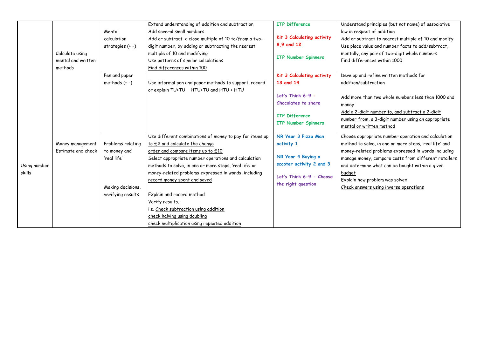|              |                           |                    | Extend understanding of addition and subtraction        | <b>ITP Difference</b>      | Understand principles (but not name) of associative    |
|--------------|---------------------------|--------------------|---------------------------------------------------------|----------------------------|--------------------------------------------------------|
|              |                           | Mental             | Add several small numbers                               |                            | law in respect of addition                             |
|              |                           | calculation        | Add or subtract a close multiple of 10 to/from a two-   | Kit 3 Calculating activity | Add or subtract to nearest multiple of 10 and modify   |
|              |                           | strategies $(+ -)$ | digit number, by adding or subtracting the nearest      | 8.9 and 12                 | Use place value and number facts to add/subtract,      |
|              | Calculate using           |                    | multiple of 10 and modifying                            |                            | mentally, any pair of two-digit whole numbers          |
|              | mental and written        |                    | Use patterns of similar calculations                    | <b>ITP Number Spinners</b> | Find differences within 1000                           |
|              | methods                   |                    | Find differences within 100                             |                            |                                                        |
|              |                           | Pen and paper      |                                                         | Kit 3 Calculating activity | Develop and refine written methods for                 |
|              |                           | methods $(+ -)$    | Use informal pen and paper methods to support, record   | 13 and 14                  | addition/subtraction                                   |
|              |                           |                    | or explain TU+TU HTU+TU and HTU + HTU                   |                            |                                                        |
|              |                           |                    |                                                         | Let's Think 6-9 -          | Add more than two whole numbers less than 1000 and     |
|              |                           |                    |                                                         | Chocolates to share        | money                                                  |
|              |                           |                    |                                                         |                            | Add a 2-digit number to, and subtract a 2-digit        |
|              |                           |                    |                                                         | ITP Difference             | number from, a 3-digit number using an appropriate     |
|              |                           |                    |                                                         | <b>ITP Number Spinners</b> | mental or written method                               |
|              |                           |                    | Use different combinations of money to pay for items up | NR Year 3 Pizza Man        | Choose appropriate number operation and calculation    |
|              | Money management          | Problems relating  | to £2 and calculate the change                          | activity 1                 | method to solve, in one or more steps, 'real life' and |
|              | <b>Fstimate and check</b> | to money and       | order and compare items up to £10                       |                            | money-related problems expressed in words including    |
|              |                           | 'real life'        | Select appropriate number operations and calculation    | NR Year 4 Buying a         | manage money, compare costs from different retailers   |
| Using number |                           |                    | methods to solve, in one or more steps, 'real life' or  | scooter activity 2 and 3   | and determine what can be bought within a given        |
| skills       |                           |                    | money-related problems expressed in words, including    |                            | budget                                                 |
|              |                           |                    | record money spent and saved                            | Let's Think 6-9 - Choose   | Explain how problem was solved                         |
|              |                           | Making decisions,  |                                                         | the right question         | Check answers using inverse operations                 |
|              |                           | verifying results  | Explain and record method                               |                            |                                                        |
|              |                           |                    | Verify results.                                         |                            |                                                        |
|              |                           |                    | i.e. Check subtraction using addition                   |                            |                                                        |
|              |                           |                    | check halving using doubling                            |                            |                                                        |
|              |                           |                    | check multiplication using repeated addition            |                            |                                                        |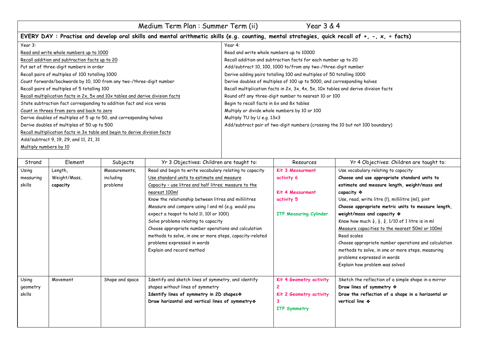| Medium Term Plan: Summer Term (ii)<br>Year $3 & 4$                                                                                            |                                                                                     |  |  |  |  |
|-----------------------------------------------------------------------------------------------------------------------------------------------|-------------------------------------------------------------------------------------|--|--|--|--|
| EVERY DAY: Practise and develop oral skills and mental arithmetic skills (e.g. counting, mental strategies, quick recall of +, -, x, ÷ facts) |                                                                                     |  |  |  |  |
| Year 3:                                                                                                                                       | Year 4:                                                                             |  |  |  |  |
| Read and write whole numbers up to 1000                                                                                                       | Read and write whole numbers up to 10000                                            |  |  |  |  |
| Recall addition and subtraction facts up to 20                                                                                                | Recall addition and subtraction facts for each number up to 20                      |  |  |  |  |
| Put set of three-digit numbers in order                                                                                                       | Add/subtract 10, 100, 1000 to/from any two-/three-digit number                      |  |  |  |  |
| Recall pairs of multiples of 100 totalling 1000                                                                                               | Derive adding pairs totalling 100 and multiples of 50 totalling 1000                |  |  |  |  |
| Count forwards/backwards by 10, 100 from any two-/three-digit number                                                                          | Derive doubles of multiples of 100 up to 5000, and corresponding halves             |  |  |  |  |
| Recall pairs of multiples of 5 totalling 100                                                                                                  | Recall multiplication facts in 2x, 3x, 4x, 5x, 10x tables and derive division facts |  |  |  |  |
| Recall multiplication facts in 2x, 5x and 10x tables and derive division facts                                                                | Round off any three-digit number to nearest 10 or 100                               |  |  |  |  |
| State subtraction fact corresponding to addition fact and vice versa                                                                          | Begin to recall facts in 6x and 8x tables                                           |  |  |  |  |
| Count in threes from zero and back to zero                                                                                                    | Multiply or divide whole numbers by 10 or 100                                       |  |  |  |  |
| Derive doubles of multiples of 5 up to 50, and corresponding halves                                                                           | Multiply TU by U e.g. 13x3                                                          |  |  |  |  |
| Derive doubles of multiples of 50 up to 500                                                                                                   | Add/subtract pair of two-digit numbers (crossing the 10 but not 100 boundary)       |  |  |  |  |
| Recall multiplication facts in 3x table and begin to derive division facts                                                                    |                                                                                     |  |  |  |  |
| Add/subtract 9, 19, 29, and 11, 21, 31                                                                                                        |                                                                                     |  |  |  |  |
| Multiply numbers by 10                                                                                                                        |                                                                                     |  |  |  |  |
|                                                                                                                                               |                                                                                     |  |  |  |  |

| Strand    | Element      | Subjects        | Yr 3 Objectives: Children are taught to:                 | Resources                     | Yr 4 Objectives: Children are taught to:                                               |
|-----------|--------------|-----------------|----------------------------------------------------------|-------------------------------|----------------------------------------------------------------------------------------|
| Using     | Length,      | Measurements,   | Read and begin to write vocabulary relating to capacity  | Kit 3 Measurment              | Use vocabulary relating to capacity                                                    |
| measuring | Weight/Mass, | including       | Use standard units to estimate and measure               | activity 6                    | Choose and use appropriate standard units to                                           |
| skills    | capacity     | problems        | Capacity - use litres and half litres; measure to the    |                               | estimate and measure length, weight/mass and                                           |
|           |              |                 | nearest 100ml                                            | Kit 4 Measurment              | capacity ❖                                                                             |
|           |              |                 | Know the relationship between litres and millilitres     | activity 5                    | Use, read, write litre (I), millilitre (ml), pint                                      |
|           |              |                 | Measure and compare using I and mI (e.g. would you       |                               | Choose appropriate metric units to measure length,                                     |
|           |              |                 | expect a teapot to hold 11, 101 or 1001)                 | <b>ITP Measuring Cylinder</b> | weight/mass and capacity *                                                             |
|           |              |                 | Solve problems relating to capacity                      |                               | Know how much $\frac{1}{4}$ , $\frac{1}{2}$ , $\frac{3}{4}$ , 1/10 of 1 litre is in ml |
|           |              |                 | Choose appropriate number operations and calculation     |                               | Measure capacities to the nearest 50ml or 100ml                                        |
|           |              |                 | methods to solve, in one or more steps, capacity-related |                               | Read scales                                                                            |
|           |              |                 | problems expressed in words                              |                               | Choose appropriate number operations and calculation                                   |
|           |              |                 | Explain and record method                                |                               | methods to solve, in one or more steps, measuring                                      |
|           |              |                 |                                                          |                               | problems expressed in words                                                            |
|           |              |                 |                                                          |                               | Explain how problem was solved                                                         |
|           |              |                 |                                                          |                               |                                                                                        |
| Using     | Movement     | Shape and space | Identify and sketch lines of symmetry, and identify      | Kit 4 Geometry activity       | Sketch the reflection of a simple shape in a mirror                                    |
| geometry  |              |                 | shapes without lines of symmetry                         |                               | Draw lines of symmetry $\diamondsuit$                                                  |
| skills    |              |                 | Identify lines of symmetry in 2D shapes                  | Kit 2 Geometry activity       | Draw the reflection of a shape in a horizontal or                                      |
|           |              |                 | Draw horizontal and vertical lines of symmetry *         |                               | vertical line *                                                                        |
|           |              |                 |                                                          | <b>ITP Symmetry</b>           |                                                                                        |
|           |              |                 |                                                          |                               |                                                                                        |
|           |              |                 |                                                          |                               |                                                                                        |